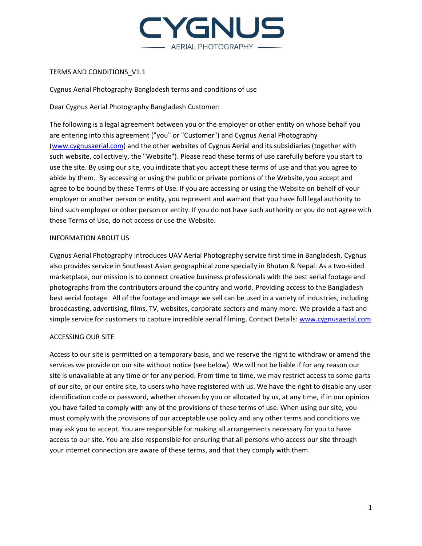

# TERMS AND CONDITIONS\_V1.1

Cygnus Aerial Photography Bangladesh terms and conditions of use

Dear Cygnus Aerial Photography Bangladesh Customer:

The following is a legal agreement between you or the employer or other entity on whose behalf you are entering into this agreement ("you" or "Customer") and Cygnus Aerial Photography [\(www.cygnusaerial.com\)](http://www.airstoc.com/) and the other websites of Cygnus Aerial and its subsidiaries (together with such website, collectively, the "Website"). Please read these terms of use carefully before you start to use the site. By using our site, you indicate that you accept these terms of use and that you agree to abide by them. By accessing or using the public or private portions of the Website, you accept and agree to be bound by these Terms of Use. If you are accessing or using the Website on behalf of your employer or another person or entity, you represent and warrant that you have full legal authority to bind such employer or other person or entity. If you do not have such authority or you do not agree with these Terms of Use, do not access or use the Website.

# INFORMATION ABOUT US

Cygnus Aerial Photography introduces UAV Aerial Photography service first time in Bangladesh. Cygnus also provides service in Southeast Asian geographical zone specially in Bhutan & Nepal. As a two-sided marketplace, our mission is to connect creative business professionals with the best aerial footage and photographs from the contributors around the country and world. Providing access to the Bangladesh best aerial footage. All of the footage and image we sell can be used in a variety of industries, including broadcasting, advertising, films, TV, websites, corporate sectors and many more. We provide a fast and simple service for customers to capture incredible aerial filming. Contact Details[: www.cygnusaerial.com](http://www.cygnusaerial.com/)

## ACCESSING OUR SITE

Access to our site is permitted on a temporary basis, and we reserve the right to withdraw or amend the services we provide on our site without notice (see below). We will not be liable if for any reason our site is unavailable at any time or for any period. From time to time, we may restrict access to some parts of our site, or our entire site, to users who have registered with us. We have the right to disable any user identification code or password, whether chosen by you or allocated by us, at any time, if in our opinion you have failed to comply with any of the provisions of these terms of use. When using our site, you must comply with the provisions of our acceptable use policy and any other terms and conditions we may ask you to accept. You are responsible for making all arrangements necessary for you to have access to our site. You are also responsible for ensuring that all persons who access our site through your internet connection are aware of these terms, and that they comply with them.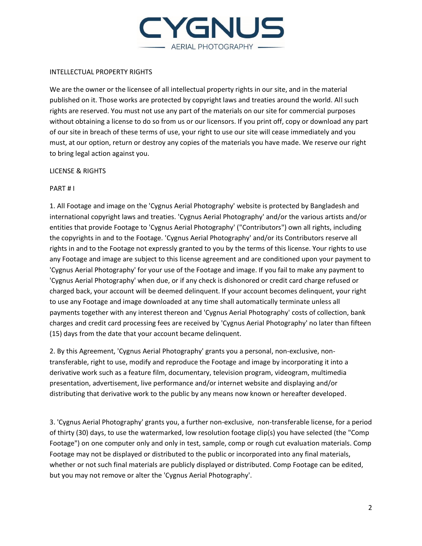

#### INTELLECTUAL PROPERTY RIGHTS

We are the owner or the licensee of all intellectual property rights in our site, and in the material published on it. Those works are protected by copyright laws and treaties around the world. All such rights are reserved. You must not use any part of the materials on our site for commercial purposes without obtaining a license to do so from us or our licensors. If you print off, copy or download any part of our site in breach of these terms of use, your right to use our site will cease immediately and you must, at our option, return or destroy any copies of the materials you have made. We reserve our right to bring legal action against you.

## LICENSE & RIGHTS

#### PART # I

1. All Footage and image on the 'Cygnus Aerial Photography' website is protected by Bangladesh and international copyright laws and treaties. 'Cygnus Aerial Photography' and/or the various artists and/or entities that provide Footage to 'Cygnus Aerial Photography' ("Contributors") own all rights, including the copyrights in and to the Footage. 'Cygnus Aerial Photography' and/or its Contributors reserve all rights in and to the Footage not expressly granted to you by the terms of this license. Your rights to use any Footage and image are subject to this license agreement and are conditioned upon your payment to 'Cygnus Aerial Photography' for your use of the Footage and image. If you fail to make any payment to 'Cygnus Aerial Photography' when due, or if any check is dishonored or credit card charge refused or charged back, your account will be deemed delinquent. If your account becomes delinquent, your right to use any Footage and image downloaded at any time shall automatically terminate unless all payments together with any interest thereon and 'Cygnus Aerial Photography' costs of collection, bank charges and credit card processing fees are received by 'Cygnus Aerial Photography' no later than fifteen (15) days from the date that your account became delinquent.

2. By this Agreement, 'Cygnus Aerial Photography' grants you a personal, non-exclusive, nontransferable, right to use, modify and reproduce the Footage and image by incorporating it into a derivative work such as a feature film, documentary, television program, videogram, multimedia presentation, advertisement, live performance and/or internet website and displaying and/or distributing that derivative work to the public by any means now known or hereafter developed.

3. 'Cygnus Aerial Photography' grants you, a further non-exclusive, non-transferable license, for a period of thirty (30) days, to use the watermarked, low resolution footage clip(s) you have selected (the "Comp Footage") on one computer only and only in test, sample, comp or rough cut evaluation materials. Comp Footage may not be displayed or distributed to the public or incorporated into any final materials, whether or not such final materials are publicly displayed or distributed. Comp Footage can be edited, but you may not remove or alter the 'Cygnus Aerial Photography'.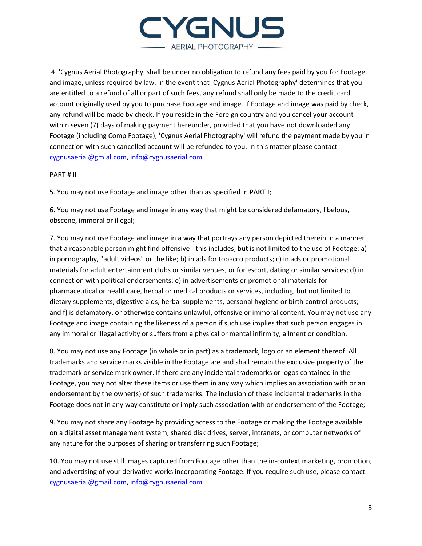

4. 'Cygnus Aerial Photography' shall be under no obligation to refund any fees paid by you for Footage and image, unless required by law. In the event that 'Cygnus Aerial Photography' determines that you are entitled to a refund of all or part of such fees, any refund shall only be made to the credit card account originally used by you to purchase Footage and image. If Footage and image was paid by check, any refund will be made by check. If you reside in the Foreign country and you cancel your account within seven (7) days of making payment hereunder, provided that you have not downloaded any Footage (including Comp Footage), 'Cygnus Aerial Photography' will refund the payment made by you in connection with such cancelled account will be refunded to you. In this matter please contact [cygnusaerial@gmial.com,](mailto:cygnusaerial@gmial.com) [info@cygnusaerial.com](mailto:info@cygnusaerial.com)

#### PART # II

5. You may not use Footage and image other than as specified in PART I;

6. You may not use Footage and image in any way that might be considered defamatory, libelous, obscene, immoral or illegal;

7. You may not use Footage and image in a way that portrays any person depicted therein in a manner that a reasonable person might find offensive - this includes, but is not limited to the use of Footage: a) in pornography, "adult videos" or the like; b) in ads for tobacco products; c) in ads or promotional materials for adult entertainment clubs or similar venues, or for escort, dating or similar services; d) in connection with political endorsements; e) in advertisements or promotional materials for pharmaceutical or healthcare, herbal or medical products or services, including, but not limited to dietary supplements, digestive aids, herbal supplements, personal hygiene or birth control products; and f) is defamatory, or otherwise contains unlawful, offensive or immoral content. You may not use any Footage and image containing the likeness of a person if such use implies that such person engages in any immoral or illegal activity or suffers from a physical or mental infirmity, ailment or condition.

8. You may not use any Footage (in whole or in part) as a trademark, logo or an element thereof. All trademarks and service marks visible in the Footage are and shall remain the exclusive property of the trademark or service mark owner. If there are any incidental trademarks or logos contained in the Footage, you may not alter these items or use them in any way which implies an association with or an endorsement by the owner(s) of such trademarks. The inclusion of these incidental trademarks in the Footage does not in any way constitute or imply such association with or endorsement of the Footage;

9. You may not share any Footage by providing access to the Footage or making the Footage available on a digital asset management system, shared disk drives, server, intranets, or computer networks of any nature for the purposes of sharing or transferring such Footage;

10. You may not use still images captured from Footage other than the in-context marketing, promotion, and advertising of your derivative works incorporating Footage. If you require such use, please contact [cygnusaerial@gmail.com,](mailto:cygnusaerial@gmail.com) [info@cygnusaerial.com](mailto:info@cygnusaerial.com)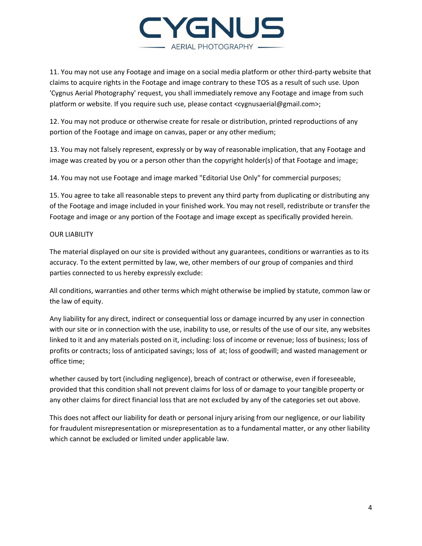

11. You may not use any Footage and image on a social media platform or other third-party website that claims to acquire rights in the Footage and image contrary to these TOS as a result of such use. Upon 'Cygnus Aerial Photography' request, you shall immediately remove any Footage and image from such platform or website. If you require such use, please contact <cygnusaerial@gmail.com>;

12. You may not produce or otherwise create for resale or distribution, printed reproductions of any portion of the Footage and image on canvas, paper or any other medium;

13. You may not falsely represent, expressly or by way of reasonable implication, that any Footage and image was created by you or a person other than the copyright holder(s) of that Footage and image;

14. You may not use Footage and image marked "Editorial Use Only" for commercial purposes;

15. You agree to take all reasonable steps to prevent any third party from duplicating or distributing any of the Footage and image included in your finished work. You may not resell, redistribute or transfer the Footage and image or any portion of the Footage and image except as specifically provided herein.

## OUR LIABILITY

The material displayed on our site is provided without any guarantees, conditions or warranties as to its accuracy. To the extent permitted by law, we, other members of our group of companies and third parties connected to us hereby expressly exclude:

All conditions, warranties and other terms which might otherwise be implied by statute, common law or the law of equity.

Any liability for any direct, indirect or consequential loss or damage incurred by any user in connection with our site or in connection with the use, inability to use, or results of the use of our site, any websites linked to it and any materials posted on it, including: loss of income or revenue; loss of business; loss of profits or contracts; loss of anticipated savings; loss of at; loss of goodwill; and wasted management or office time;

whether caused by tort (including negligence), breach of contract or otherwise, even if foreseeable, provided that this condition shall not prevent claims for loss of or damage to your tangible property or any other claims for direct financial loss that are not excluded by any of the categories set out above.

This does not affect our liability for death or personal injury arising from our negligence, or our liability for fraudulent misrepresentation or misrepresentation as to a fundamental matter, or any other liability which cannot be excluded or limited under applicable law.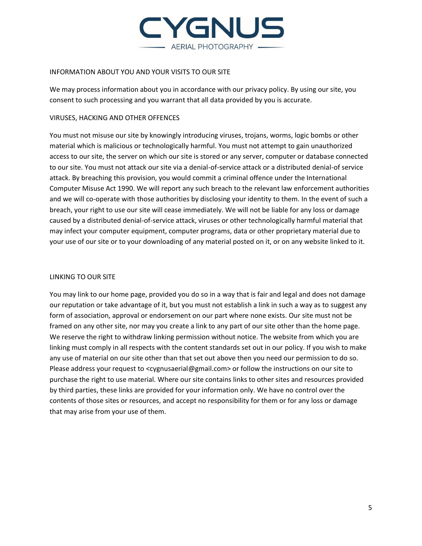

# INFORMATION ABOUT YOU AND YOUR VISITS TO OUR SITE

We may process information about you in accordance with our privacy policy. By using our site, you consent to such processing and you warrant that all data provided by you is accurate.

## VIRUSES, HACKING AND OTHER OFFENCES

You must not misuse our site by knowingly introducing viruses, trojans, worms, logic bombs or other material which is malicious or technologically harmful. You must not attempt to gain unauthorized access to our site, the server on which our site is stored or any server, computer or database connected to our site. You must not attack our site via a denial-of-service attack or a distributed denial-of service attack. By breaching this provision, you would commit a criminal offence under the International Computer Misuse Act 1990. We will report any such breach to the relevant law enforcement authorities and we will co-operate with those authorities by disclosing your identity to them. In the event of such a breach, your right to use our site will cease immediately. We will not be liable for any loss or damage caused by a distributed denial-of-service attack, viruses or other technologically harmful material that may infect your computer equipment, computer programs, data or other proprietary material due to your use of our site or to your downloading of any material posted on it, or on any website linked to it.

# LINKING TO OUR SITE

You may link to our home page, provided you do so in a way that is fair and legal and does not damage our reputation or take advantage of it, but you must not establish a link in such a way as to suggest any form of association, approval or endorsement on our part where none exists. Our site must not be framed on any other site, nor may you create a link to any part of our site other than the home page. We reserve the right to withdraw linking permission without notice. The website from which you are linking must comply in all respects with the content standards set out in our policy. If you wish to make any use of material on our site other than that set out above then you need our permission to do so. Please address your request to <cygnusaerial@gmail.com> or follow the instructions on our site to purchase the right to use material. Where our site contains links to other sites and resources provided by third parties, these links are provided for your information only. We have no control over the contents of those sites or resources, and accept no responsibility for them or for any loss or damage that may arise from your use of them.